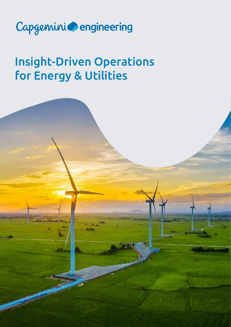

# Insight-Driven Operations for Energy & Utilities

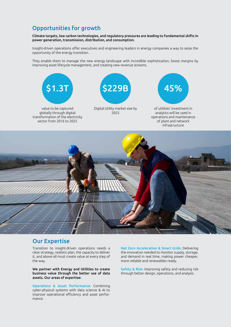## Opportunities for growth

Climate targets, low carbon technologies, and regulatory pressures are leading to fundamental shifts in power generation, transmission, distribution, and consumption.

Insight-driven operations offer executives and engineering leaders in energy companies a way to seize the opportunity of the energy transition.

They enable them to manage the new energy landscape with incredible sophistication, boost margins by improving asset lifecycle management, and creating new revenue streams.



value to be captured globally through digital transformation of the electricity sector from 2016 to 2025



Digital Utility market size by 2025



of utilities' investment in analytics will be used in operations and maintenance of plant and network infrastructure



### Our Expertise

Transition to insight-driven operations needs a clear strategy, realistic plan, the capacity to deliver it, and above all must create value at every step of the way.

We partner with Energy and Utilities to create business value through the better use of data assets. Our areas of expertise:

Operations & Asset Performance: Combining cyber-physical systems with data science & AI to improve operational efficiency and asset performance.

Net Zero Acceleration & Smart Grids: Delivering the innovation needed to monitor supply, storage, and demand in real time, making power cheaper, more reliable and renewables ready.

Safety & Risk: Improving safety and reducing risk through better design, operations, and analysis.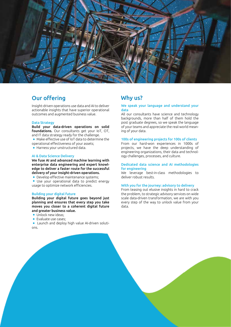

## Our offering

Insight-driven operations use data and AI to deliver actionable insights that have superior operational outcomes and augmented business value.

#### Data Strategy

Build your data-driven operations on solid foundations. Our consultants get your IoT, OT, and IT data strategy ready for the challenge.

- Make effective use of IoT data to determine the operational effectiveness of your assets;
- Harness your unstructured data.

#### AI & Data Science Delivery

We fuse AI and advanced machine learning with enterprise data engineering and expert knowledge to deliver a faster route for the successful delivery of your insight-driven operations.

**•** Develop effective maintenance systems;

 Use your operational data to predict energy usage to optimize network efficiencies.

#### Building your digital future

Building your digital future goes beyond just planning and ensures that every step you take moves you closer to a coherent digital future and greater business value.

- **Unlock new ideas;**
- Evaluate use cases:
- Launch and deploy high value AI-driven solutions.

#### Why us?

#### We speak your language and understand your data

All our consultants have science and technology backgrounds, more than half of them hold the post graduate degrees, so we speak the language of your teams and appreciate the real-world meaning of your data.

#### 100s of engineering projects for 100s of clients

From our hard-won experiences in 1000s of projects, we have the deep understanding of engineering organizations, their data and technology challenges, processes, and culture.

#### Dedicated data science and AI methodologies for engineering

We leverage best-in-class methodologies to deliver robust results.

#### With you for the journey: advisory to delivery

From teasing out elusive insights in hard to crack the problem, to strategic advisory services on wide scale data-driven transformation, we are with you every step of the way to unlock value from your data.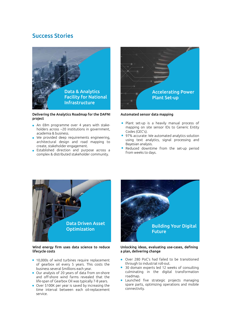## Success Stories



Delivering the Analytics Roadmap for the DAFNI project

- An £8m programme over 4 years with stakeholders across ~20 institutions in government, academia & business.
- We provided deep requirements engineering, architectural design and road mapping to create, stakeholder engagement.
- Established direction and purpose across a complex & distributed stakeholder community.



Automated sensor data mapping

- Plant set-up is a heavily manual process of mapping on site sensor IDs to Generic Entity Codes (GEC's).
- 97% accurate: We automated analytics solution using text analytics, signal processing and Bayesian analysis.
- Reduced downtime from the set-up period from weeks to days.



#### Wind energy firm uses data science to reduce lifecycle costs

- 10,000s of wind turbines require replacement of gearbox oil every 5 years. This costs the business several \$millions each year.
- Our analysis of 20 years of data from on-shore and off-shore wind farms revealed that the life-span of Gearbox Oil was typically 7-8 years.
- Over \$100K per year is saved by increasing the time interval between each oil-replacement service.



#### Unlocking ideas, evaluating use-cases, defining a plan, delivering change

- Over 280 PoC's had failed to be transitioned through to industrial roll-out.
- 30 domain experts led 12 weeks of consulting culminating in the digital transformation roadmap.
- Launched five strategic projects managing spare parts, optimizing operations and mobile connectivity.